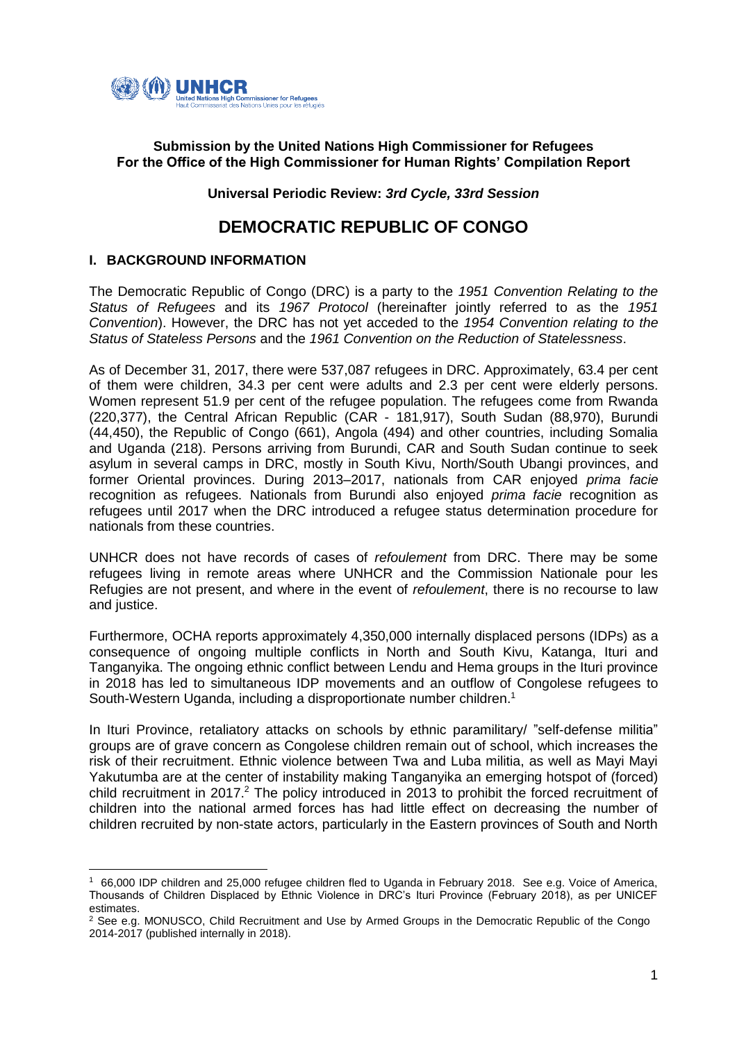

## **Submission by the United Nations High Commissioner for Refugees For the Office of the High Commissioner for Human Rights' Compilation Report**

**Universal Periodic Review:** *3rd Cycle, 33rd Session*

# **DEMOCRATIC REPUBLIC OF CONGO**

## **I. BACKGROUND INFORMATION**

The Democratic Republic of Congo (DRC) is a party to the *1951 Convention Relating to the Status of Refugees* and its *1967 Protocol* (hereinafter jointly referred to as the *1951 Convention*). However, the DRC has not yet acceded to the *1954 Convention relating to the Status of Stateless Persons* and the *1961 Convention on the Reduction of Statelessness*.

As of December 31, 2017, there were 537,087 refugees in DRC. Approximately, 63.4 per cent of them were children, 34.3 per cent were adults and 2.3 per cent were elderly persons. Women represent 51.9 per cent of the refugee population. The refugees come from Rwanda (220,377), the Central African Republic (CAR - 181,917), South Sudan (88,970), Burundi (44,450), the Republic of Congo (661), Angola (494) and other countries, including Somalia and Uganda (218). Persons arriving from Burundi, CAR and South Sudan continue to seek asylum in several camps in DRC, mostly in South Kivu, North/South Ubangi provinces, and former Oriental provinces. During 2013–2017, nationals from CAR enjoyed *prima facie* recognition as refugees. Nationals from Burundi also enjoyed *prima facie* recognition as refugees until 2017 when the DRC introduced a refugee status determination procedure for nationals from these countries.

UNHCR does not have records of cases of *refoulement* from DRC. There may be some refugees living in remote areas where UNHCR and the Commission Nationale pour les Refugies are not present, and where in the event of *refoulement*, there is no recourse to law and justice.

Furthermore, OCHA reports approximately 4,350,000 internally displaced persons (IDPs) as a consequence of ongoing multiple conflicts in North and South Kivu, Katanga, Ituri and Tanganyika. The ongoing ethnic conflict between Lendu and Hema groups in the Ituri province in 2018 has led to simultaneous IDP movements and an outflow of Congolese refugees to South-Western Uganda, including a disproportionate number children. 1

In Ituri Province, retaliatory attacks on schools by ethnic paramilitary/ "self-defense militia" groups are of grave concern as Congolese children remain out of school, which increases the risk of their recruitment. Ethnic violence between Twa and Luba militia, as well as Mayi Mayi Yakutumba are at the center of instability making Tanganyika an emerging hotspot of (forced) child recruitment in 2017.<sup>2</sup> The policy introduced in 2013 to prohibit the forced recruitment of children into the national armed forces has had little effect on decreasing the number of children recruited by non-state actors, particularly in the Eastern provinces of South and North

**<sup>.</sup>** 1 66,000 IDP children and 25,000 refugee children fled to Uganda in February 2018. See e.g. Voice of America, Thousands of Children Displaced by Ethnic Violence in DRC's Ituri Province (February 2018), as per UNICEF estimates.

<sup>&</sup>lt;sup>2</sup> See e.g. MONUSCO, Child Recruitment and Use by Armed Groups in the Democratic Republic of the Congo 2014-2017 (published internally in 2018).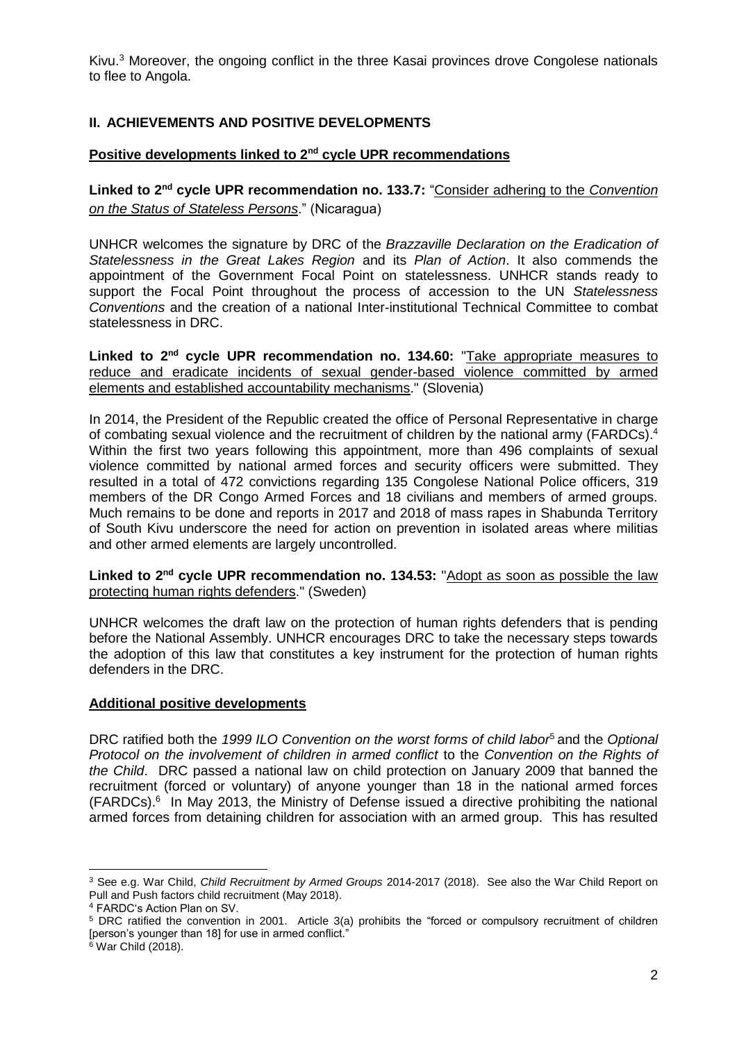Kivu.<sup>3</sup> Moreover, the ongoing conflict in the three Kasai provinces drove Congolese nationals to flee to Angola.

## **II. ACHIEVEMENTS AND POSITIVE DEVELOPMENTS**

### **Positive developments linked to 2nd cycle UPR recommendations**

**Linked to 2nd cycle UPR recommendation no. 133.7:** "Consider adhering to the *Convention on the Status of Stateless Persons*." (Nicaragua)

UNHCR welcomes the signature by DRC of the *Brazzaville Declaration on the Eradication of Statelessness in the Great Lakes Region* and its *Plan of Action*. It also commends the appointment of the Government Focal Point on statelessness. UNHCR stands ready to support the Focal Point throughout the process of accession to the UN *Statelessness Conventions* and the creation of a national Inter-institutional Technical Committee to combat statelessness in DRC.

**Linked to 2nd cycle UPR recommendation no. 134.60:** "Take appropriate measures to reduce and eradicate incidents of sexual gender-based violence committed by armed elements and established accountability mechanisms." (Slovenia)

In 2014, the President of the Republic created the office of Personal Representative in charge of combating sexual violence and the recruitment of children by the national army (FARDCs).<sup>4</sup> Within the first two years following this appointment, more than 496 complaints of sexual violence committed by national armed forces and security officers were submitted. They resulted in a total of 472 convictions regarding 135 Congolese National Police officers, 319 members of the DR Congo Armed Forces and 18 civilians and members of armed groups. Much remains to be done and reports in 2017 and 2018 of mass rapes in Shabunda Territory of South Kivu underscore the need for action on prevention in isolated areas where militias and other armed elements are largely uncontrolled.

**Linked to 2nd cycle UPR recommendation no. 134.53:** "Adopt as soon as possible the law protecting human rights defenders." (Sweden)

UNHCR welcomes the draft law on the protection of human rights defenders that is pending before the National Assembly. UNHCR encourages DRC to take the necessary steps towards the adoption of this law that constitutes a key instrument for the protection of human rights defenders in the DRC.

### **Additional positive developments**

DRC ratified both the *1999 ILO Convention on the worst forms of child labor*<sup>5</sup> and the *Optional Protocol on the involvement of children in armed conflict* to the *Convention on the Rights of the Child*. DRC passed a national law on child protection on January 2009 that banned the recruitment (forced or voluntary) of anyone younger than 18 in the national armed forces (FARDCs). 6 In May 2013, the Ministry of Defense issued a directive prohibiting the national armed forces from detaining children for association with an armed group. This has resulted

**.** 

<sup>3</sup> See e.g. War Child, *Child Recruitment by Armed Groups* 2014-2017 (2018). See also the War Child Report on Pull and Push factors child recruitment (May 2018).

<sup>4</sup> FARDC's Action Plan on SV.

<sup>5</sup> DRC ratified the convention in 2001. Article 3(a) prohibits the "forced or compulsory recruitment of children [person's younger than 18] for use in armed conflict."

 $6$  War Child (2018).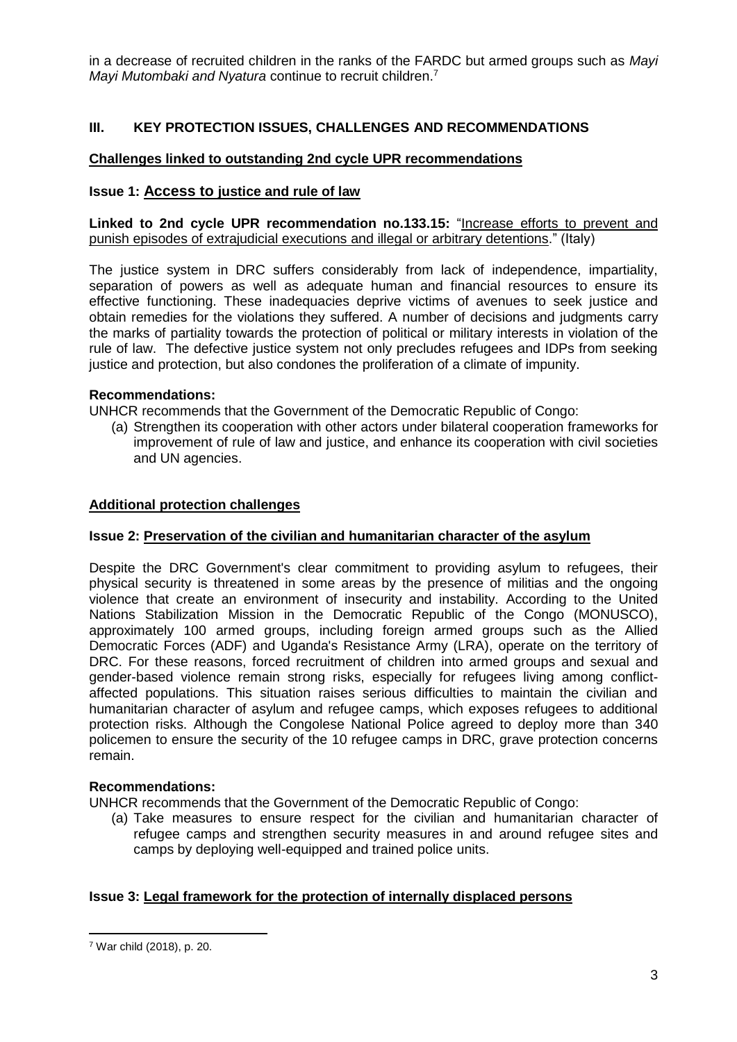in a decrease of recruited children in the ranks of the FARDC but armed groups such as *Mayi Mayi Mutombaki and Nyatura* continue to recruit children. 7

## **III. KEY PROTECTION ISSUES, CHALLENGES AND RECOMMENDATIONS**

## **Challenges linked to outstanding 2nd cycle UPR recommendations**

### **Issue 1: Access to justice and rule of law**

**Linked to 2nd cycle UPR recommendation no.133.15:** "Increase efforts to prevent and punish episodes of extrajudicial executions and illegal or arbitrary detentions." (Italy)

The justice system in DRC suffers considerably from lack of independence, impartiality, separation of powers as well as adequate human and financial resources to ensure its effective functioning. These inadequacies deprive victims of avenues to seek justice and obtain remedies for the violations they suffered. A number of decisions and judgments carry the marks of partiality towards the protection of political or military interests in violation of the rule of law. The defective justice system not only precludes refugees and IDPs from seeking justice and protection, but also condones the proliferation of a climate of impunity.

### **Recommendations:**

UNHCR recommends that the Government of the Democratic Republic of Congo:

(a) Strengthen its cooperation with other actors under bilateral cooperation frameworks for improvement of rule of law and justice, and enhance its cooperation with civil societies and UN agencies.

### **Additional protection challenges**

### **Issue 2: Preservation of the civilian and humanitarian character of the asylum**

Despite the DRC Government's clear commitment to providing asylum to refugees, their physical security is threatened in some areas by the presence of militias and the ongoing violence that create an environment of insecurity and instability. According to the United Nations Stabilization Mission in the Democratic Republic of the Congo (MONUSCO), approximately 100 armed groups, including foreign armed groups such as the Allied Democratic Forces (ADF) and Uganda's Resistance Army (LRA), operate on the territory of DRC. For these reasons, forced recruitment of children into armed groups and sexual and gender-based violence remain strong risks, especially for refugees living among conflictaffected populations. This situation raises serious difficulties to maintain the civilian and humanitarian character of asylum and refugee camps, which exposes refugees to additional protection risks. Although the Congolese National Police agreed to deploy more than 340 policemen to ensure the security of the 10 refugee camps in DRC, grave protection concerns remain.

## **Recommendations:**

UNHCR recommends that the Government of the Democratic Republic of Congo:

(a) Take measures to ensure respect for the civilian and humanitarian character of refugee camps and strengthen security measures in and around refugee sites and camps by deploying well-equipped and trained police units.

## **Issue 3: Legal framework for the protection of internally displaced persons**

1

<sup>7</sup> War child (2018), p. 20.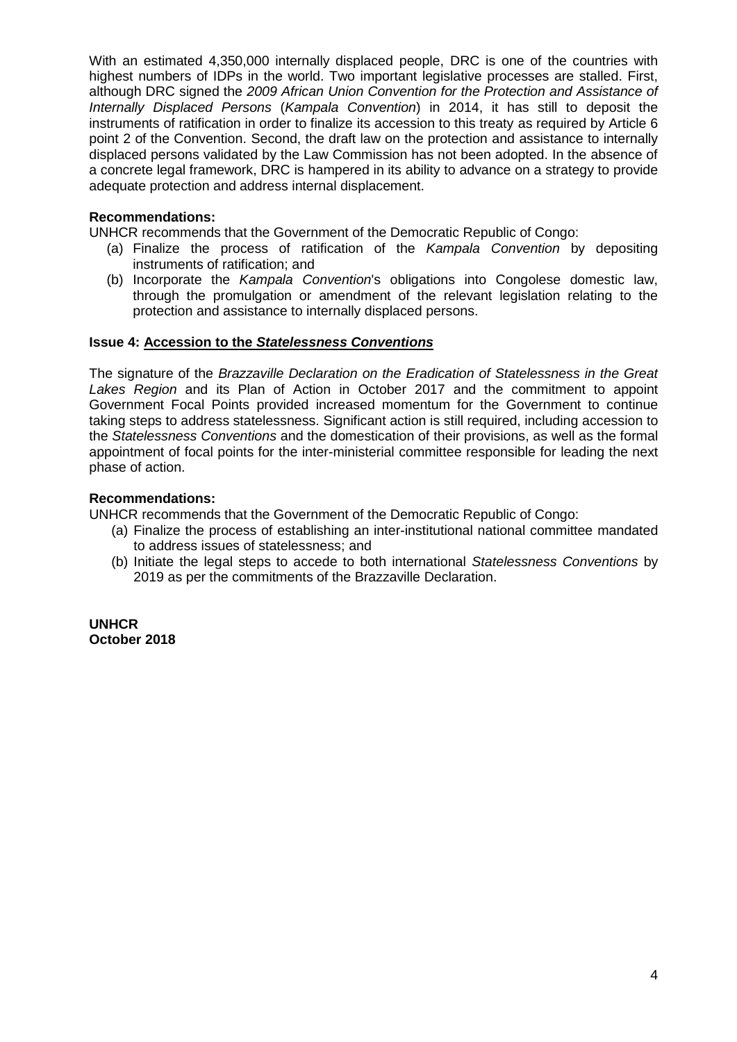With an estimated 4,350,000 internally displaced people, DRC is one of the countries with highest numbers of IDPs in the world. Two important legislative processes are stalled. First, although DRC signed the *2009 African Union Convention for the Protection and Assistance of Internally Displaced Persons* (*Kampala Convention*) in 2014, it has still to deposit the instruments of ratification in order to finalize its accession to this treaty as required by Article 6 point 2 of the Convention. Second, the draft law on the protection and assistance to internally displaced persons validated by the Law Commission has not been adopted. In the absence of a concrete legal framework, DRC is hampered in its ability to advance on a strategy to provide adequate protection and address internal displacement.

## **Recommendations:**

UNHCR recommends that the Government of the Democratic Republic of Congo:

- (a) Finalize the process of ratification of the *Kampala Convention* by depositing instruments of ratification; and
- (b) Incorporate the *Kampala Convention*'s obligations into Congolese domestic law, through the promulgation or amendment of the relevant legislation relating to the protection and assistance to internally displaced persons.

## **Issue 4: Accession to the** *Statelessness Conventions*

The signature of the *Brazzaville Declaration on the Eradication of Statelessness in the Great Lakes Region* and its Plan of Action in October 2017 and the commitment to appoint Government Focal Points provided increased momentum for the Government to continue taking steps to address statelessness. Significant action is still required, including accession to the *Statelessness Conventions* and the domestication of their provisions, as well as the formal appointment of focal points for the inter-ministerial committee responsible for leading the next phase of action.

## **Recommendations:**

UNHCR recommends that the Government of the Democratic Republic of Congo:

- (a) Finalize the process of establishing an inter-institutional national committee mandated to address issues of statelessness; and
- (b) Initiate the legal steps to accede to both international *Statelessness Conventions* by 2019 as per the commitments of the Brazzaville Declaration.

**UNHCR October 2018**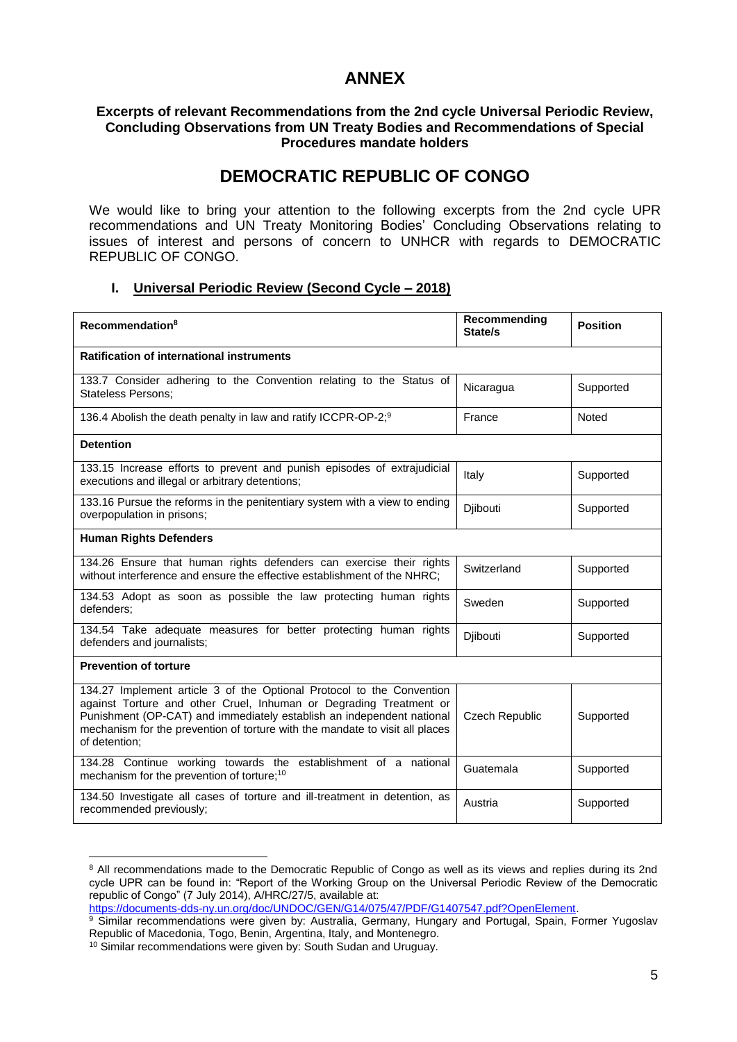## **ANNEX**

### **Excerpts of relevant Recommendations from the 2nd cycle Universal Periodic Review, Concluding Observations from UN Treaty Bodies and Recommendations of Special Procedures mandate holders**

## **DEMOCRATIC REPUBLIC OF CONGO**

We would like to bring your attention to the following excerpts from the 2nd cycle UPR recommendations and UN Treaty Monitoring Bodies' Concluding Observations relating to issues of interest and persons of concern to UNHCR with regards to DEMOCRATIC REPUBLIC OF CONGO.

## **I. Universal Periodic Review (Second Cycle – 2018)**

| Recommendation <sup>8</sup>                                                                                                                                                                                                                                                                                           | Recommending<br>State/s | <b>Position</b> |  |
|-----------------------------------------------------------------------------------------------------------------------------------------------------------------------------------------------------------------------------------------------------------------------------------------------------------------------|-------------------------|-----------------|--|
| <b>Ratification of international instruments</b>                                                                                                                                                                                                                                                                      |                         |                 |  |
| 133.7 Consider adhering to the Convention relating to the Status of<br><b>Stateless Persons:</b>                                                                                                                                                                                                                      | Nicaragua               | Supported       |  |
| 136.4 Abolish the death penalty in law and ratify ICCPR-OP-2; <sup>9</sup>                                                                                                                                                                                                                                            | France                  | Noted           |  |
| <b>Detention</b>                                                                                                                                                                                                                                                                                                      |                         |                 |  |
| 133.15 Increase efforts to prevent and punish episodes of extrajudicial<br>executions and illegal or arbitrary detentions;                                                                                                                                                                                            | Italy                   | Supported       |  |
| 133.16 Pursue the reforms in the penitentiary system with a view to ending<br>overpopulation in prisons;                                                                                                                                                                                                              | Djibouti                | Supported       |  |
| <b>Human Rights Defenders</b>                                                                                                                                                                                                                                                                                         |                         |                 |  |
| 134.26 Ensure that human rights defenders can exercise their rights<br>without interference and ensure the effective establishment of the NHRC:                                                                                                                                                                       | Switzerland             | Supported       |  |
| 134.53 Adopt as soon as possible the law protecting human rights<br>defenders:                                                                                                                                                                                                                                        | Sweden                  | Supported       |  |
| 134.54 Take adequate measures for better protecting human rights<br>defenders and journalists;                                                                                                                                                                                                                        | Djibouti                | Supported       |  |
| <b>Prevention of torture</b>                                                                                                                                                                                                                                                                                          |                         |                 |  |
| 134.27 Implement article 3 of the Optional Protocol to the Convention<br>against Torture and other Cruel, Inhuman or Degrading Treatment or<br>Punishment (OP-CAT) and immediately establish an independent national<br>mechanism for the prevention of torture with the mandate to visit all places<br>of detention; | <b>Czech Republic</b>   | Supported       |  |
| 134.28 Continue working towards the establishment of a national<br>mechanism for the prevention of torture; <sup>10</sup>                                                                                                                                                                                             | Guatemala               | Supported       |  |
| 134.50 Investigate all cases of torture and ill-treatment in detention, as<br>recommended previously;                                                                                                                                                                                                                 | Austria                 | Supported       |  |

<sup>1</sup> <sup>8</sup> All recommendations made to the Democratic Republic of Congo as well as its views and replies during its 2nd cycle UPR can be found in: "Report of the Working Group on the Universal Periodic Review of the Democratic republic of Congo" (7 July 2014), A/HRC/27/5, available at:

[https://documents-dds-ny.un.org/doc/UNDOC/GEN/G14/075/47/PDF/G1407547.pdf?OpenElement.](https://documents-dds-ny.un.org/doc/UNDOC/GEN/G14/075/47/PDF/G1407547.pdf?OpenElement)

<sup>9</sup> Similar recommendations were given by: Australia, Germany, Hungary and Portugal, Spain, Former Yugoslav Republic of Macedonia, Togo, Benin, Argentina, Italy, and Montenegro.

<sup>10</sup> Similar recommendations were given by: South Sudan and Uruguay.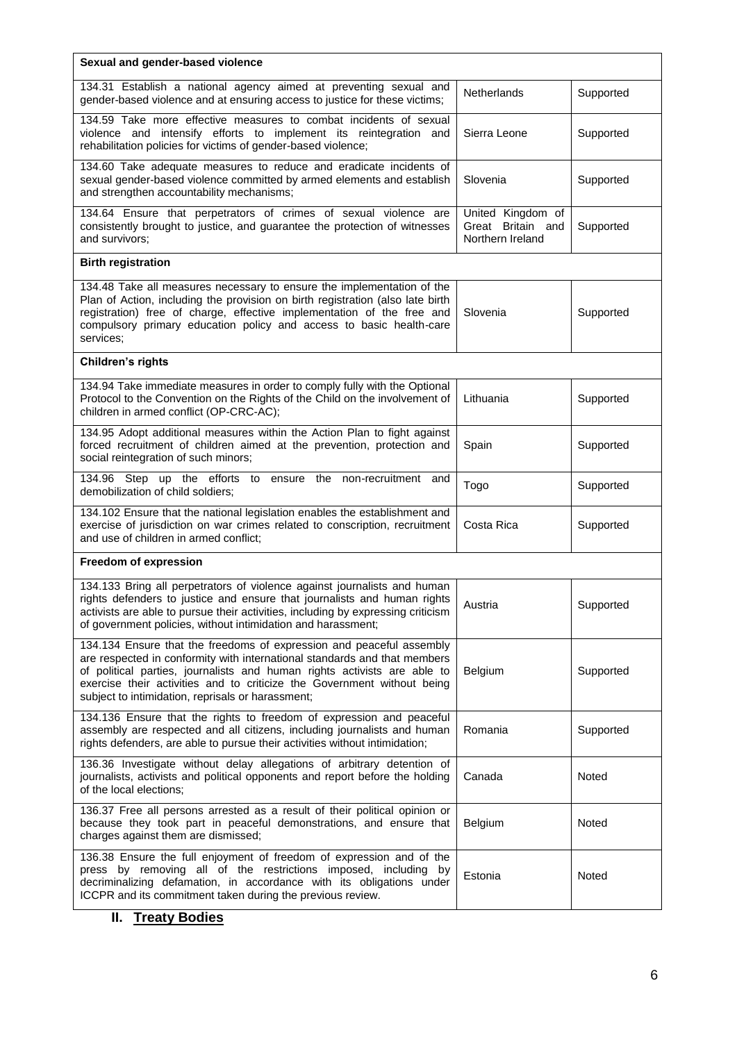| Sexual and gender-based violence                                                                                                                                                                                                                                                                                                                              |                                                            |           |  |
|---------------------------------------------------------------------------------------------------------------------------------------------------------------------------------------------------------------------------------------------------------------------------------------------------------------------------------------------------------------|------------------------------------------------------------|-----------|--|
| 134.31 Establish a national agency aimed at preventing sexual and<br>gender-based violence and at ensuring access to justice for these victims;                                                                                                                                                                                                               | Netherlands                                                | Supported |  |
| 134.59 Take more effective measures to combat incidents of sexual<br>violence and intensify efforts to implement its reintegration and<br>rehabilitation policies for victims of gender-based violence;                                                                                                                                                       | Sierra Leone                                               | Supported |  |
| 134.60 Take adequate measures to reduce and eradicate incidents of<br>sexual gender-based violence committed by armed elements and establish<br>and strengthen accountability mechanisms;                                                                                                                                                                     | Slovenia                                                   | Supported |  |
| 134.64 Ensure that perpetrators of crimes of sexual violence are<br>consistently brought to justice, and guarantee the protection of witnesses<br>and survivors;                                                                                                                                                                                              | United Kingdom of<br>Great Britain and<br>Northern Ireland | Supported |  |
| <b>Birth registration</b>                                                                                                                                                                                                                                                                                                                                     |                                                            |           |  |
| 134.48 Take all measures necessary to ensure the implementation of the<br>Plan of Action, including the provision on birth registration (also late birth<br>registration) free of charge, effective implementation of the free and<br>compulsory primary education policy and access to basic health-care<br>services;                                        | Slovenia                                                   | Supported |  |
| Children's rights                                                                                                                                                                                                                                                                                                                                             |                                                            |           |  |
| 134.94 Take immediate measures in order to comply fully with the Optional<br>Protocol to the Convention on the Rights of the Child on the involvement of<br>children in armed conflict (OP-CRC-AC);                                                                                                                                                           | Lithuania                                                  | Supported |  |
| 134.95 Adopt additional measures within the Action Plan to fight against<br>forced recruitment of children aimed at the prevention, protection and<br>social reintegration of such minors;                                                                                                                                                                    | Spain                                                      | Supported |  |
| 134.96 Step up the efforts to ensure the non-recruitment and<br>demobilization of child soldiers;                                                                                                                                                                                                                                                             | Togo                                                       | Supported |  |
| 134.102 Ensure that the national legislation enables the establishment and<br>exercise of jurisdiction on war crimes related to conscription, recruitment<br>and use of children in armed conflict;                                                                                                                                                           | Costa Rica                                                 | Supported |  |
| Freedom of expression                                                                                                                                                                                                                                                                                                                                         |                                                            |           |  |
| 134.133 Bring all perpetrators of violence against journalists and human<br>rights defenders to justice and ensure that journalists and human rights<br>activists are able to pursue their activities, including by expressing criticism<br>of government policies, without intimidation and harassment;                                                      | Austria                                                    | Supported |  |
| 134.134 Ensure that the freedoms of expression and peaceful assembly<br>are respected in conformity with international standards and that members<br>of political parties, journalists and human rights activists are able to<br>exercise their activities and to criticize the Government without being<br>subject to intimidation, reprisals or harassment; | Belgium                                                    | Supported |  |
| 134.136 Ensure that the rights to freedom of expression and peaceful<br>assembly are respected and all citizens, including journalists and human<br>rights defenders, are able to pursue their activities without intimidation;                                                                                                                               | Romania                                                    | Supported |  |
| 136.36 Investigate without delay allegations of arbitrary detention of<br>journalists, activists and political opponents and report before the holding<br>of the local elections;                                                                                                                                                                             | Canada                                                     | Noted     |  |
| 136.37 Free all persons arrested as a result of their political opinion or<br>because they took part in peaceful demonstrations, and ensure that<br>charges against them are dismissed;                                                                                                                                                                       | Belgium                                                    | Noted     |  |
| 136.38 Ensure the full enjoyment of freedom of expression and of the<br>press by removing all of the restrictions imposed, including by<br>decriminalizing defamation, in accordance with its obligations under<br>ICCPR and its commitment taken during the previous review.                                                                                 | Estonia                                                    | Noted     |  |

# **II. Treaty Bodies**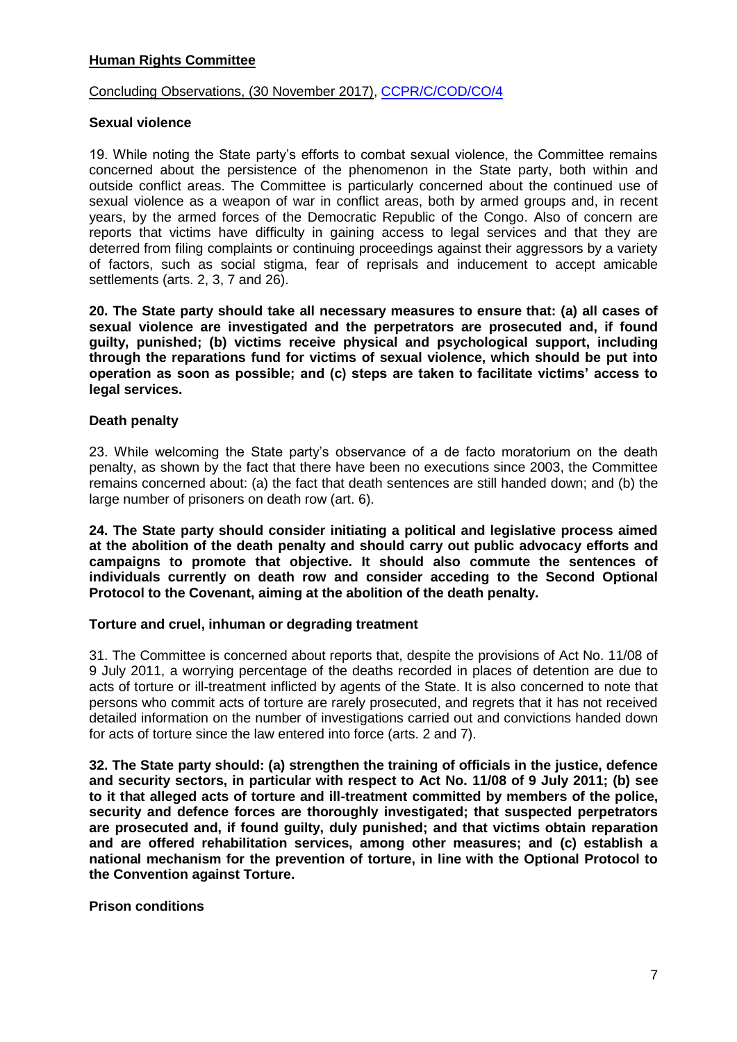## **Human Rights Committee**

## Concluding Observations, (30 November 2017), [CCPR/C/COD/CO/4](file:///C:/Users/TRUSCAN/Documents/UPR33/LoE/DRC_CCPR_2017.pdf)

### **Sexual violence**

19. While noting the State party's efforts to combat sexual violence, the Committee remains concerned about the persistence of the phenomenon in the State party, both within and outside conflict areas. The Committee is particularly concerned about the continued use of sexual violence as a weapon of war in conflict areas, both by armed groups and, in recent years, by the armed forces of the Democratic Republic of the Congo. Also of concern are reports that victims have difficulty in gaining access to legal services and that they are deterred from filing complaints or continuing proceedings against their aggressors by a variety of factors, such as social stigma, fear of reprisals and inducement to accept amicable settlements (arts. 2, 3, 7 and 26).

**20. The State party should take all necessary measures to ensure that: (a) all cases of sexual violence are investigated and the perpetrators are prosecuted and, if found guilty, punished; (b) victims receive physical and psychological support, including through the reparations fund for victims of sexual violence, which should be put into operation as soon as possible; and (c) steps are taken to facilitate victims' access to legal services.**

### **Death penalty**

23. While welcoming the State party's observance of a de facto moratorium on the death penalty, as shown by the fact that there have been no executions since 2003, the Committee remains concerned about: (a) the fact that death sentences are still handed down; and (b) the large number of prisoners on death row (art. 6).

**24. The State party should consider initiating a political and legislative process aimed at the abolition of the death penalty and should carry out public advocacy efforts and campaigns to promote that objective. It should also commute the sentences of individuals currently on death row and consider acceding to the Second Optional Protocol to the Covenant, aiming at the abolition of the death penalty.**

### **Torture and cruel, inhuman or degrading treatment**

31. The Committee is concerned about reports that, despite the provisions of Act No. 11/08 of 9 July 2011, a worrying percentage of the deaths recorded in places of detention are due to acts of torture or ill-treatment inflicted by agents of the State. It is also concerned to note that persons who commit acts of torture are rarely prosecuted, and regrets that it has not received detailed information on the number of investigations carried out and convictions handed down for acts of torture since the law entered into force (arts. 2 and 7).

**32. The State party should: (a) strengthen the training of officials in the justice, defence and security sectors, in particular with respect to Act No. 11/08 of 9 July 2011; (b) see to it that alleged acts of torture and ill-treatment committed by members of the police, security and defence forces are thoroughly investigated; that suspected perpetrators are prosecuted and, if found guilty, duly punished; and that victims obtain reparation and are offered rehabilitation services, among other measures; and (c) establish a national mechanism for the prevention of torture, in line with the Optional Protocol to the Convention against Torture.** 

### **Prison conditions**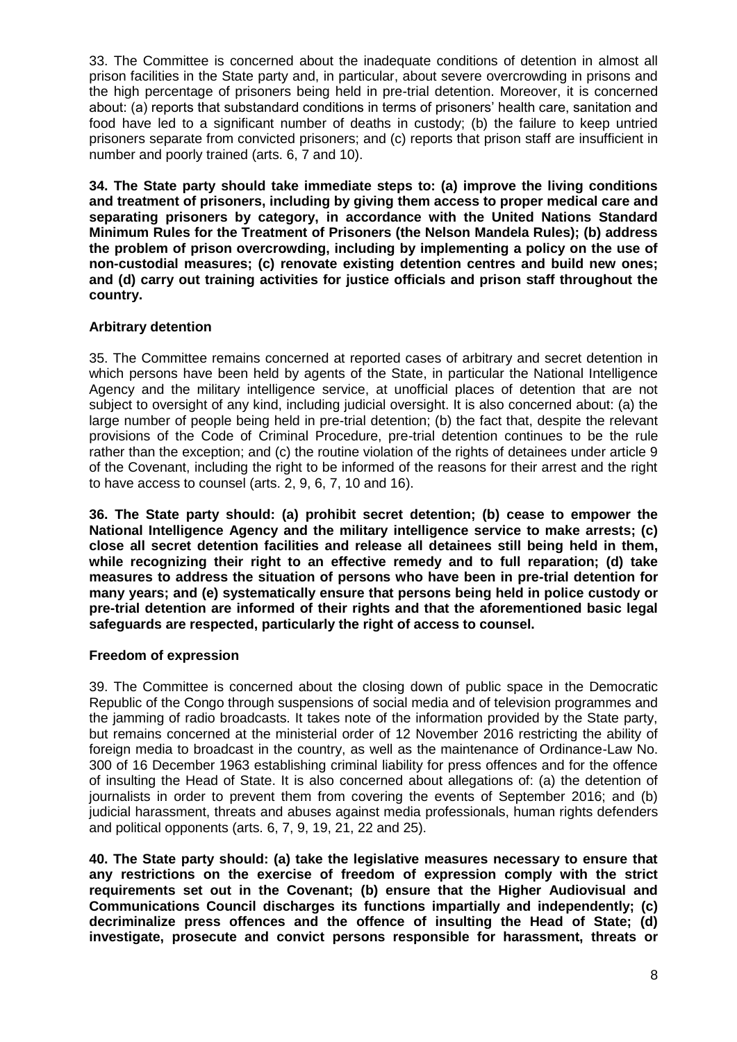33. The Committee is concerned about the inadequate conditions of detention in almost all prison facilities in the State party and, in particular, about severe overcrowding in prisons and the high percentage of prisoners being held in pre-trial detention. Moreover, it is concerned about: (a) reports that substandard conditions in terms of prisoners' health care, sanitation and food have led to a significant number of deaths in custody; (b) the failure to keep untried prisoners separate from convicted prisoners; and (c) reports that prison staff are insufficient in number and poorly trained (arts. 6, 7 and 10).

**34. The State party should take immediate steps to: (a) improve the living conditions and treatment of prisoners, including by giving them access to proper medical care and separating prisoners by category, in accordance with the United Nations Standard Minimum Rules for the Treatment of Prisoners (the Nelson Mandela Rules); (b) address the problem of prison overcrowding, including by implementing a policy on the use of non-custodial measures; (c) renovate existing detention centres and build new ones; and (d) carry out training activities for justice officials and prison staff throughout the country.** 

## **Arbitrary detention**

35. The Committee remains concerned at reported cases of arbitrary and secret detention in which persons have been held by agents of the State, in particular the National Intelligence Agency and the military intelligence service, at unofficial places of detention that are not subject to oversight of any kind, including judicial oversight. It is also concerned about: (a) the large number of people being held in pre-trial detention; (b) the fact that, despite the relevant provisions of the Code of Criminal Procedure, pre-trial detention continues to be the rule rather than the exception; and (c) the routine violation of the rights of detainees under article 9 of the Covenant, including the right to be informed of the reasons for their arrest and the right to have access to counsel (arts. 2, 9, 6, 7, 10 and 16).

**36. The State party should: (a) prohibit secret detention; (b) cease to empower the National Intelligence Agency and the military intelligence service to make arrests; (c) close all secret detention facilities and release all detainees still being held in them, while recognizing their right to an effective remedy and to full reparation; (d) take measures to address the situation of persons who have been in pre-trial detention for many years; and (e) systematically ensure that persons being held in police custody or pre-trial detention are informed of their rights and that the aforementioned basic legal safeguards are respected, particularly the right of access to counsel.**

## **Freedom of expression**

39. The Committee is concerned about the closing down of public space in the Democratic Republic of the Congo through suspensions of social media and of television programmes and the jamming of radio broadcasts. It takes note of the information provided by the State party, but remains concerned at the ministerial order of 12 November 2016 restricting the ability of foreign media to broadcast in the country, as well as the maintenance of Ordinance-Law No. 300 of 16 December 1963 establishing criminal liability for press offences and for the offence of insulting the Head of State. It is also concerned about allegations of: (a) the detention of journalists in order to prevent them from covering the events of September 2016; and (b) judicial harassment, threats and abuses against media professionals, human rights defenders and political opponents (arts. 6, 7, 9, 19, 21, 22 and 25).

**40. The State party should: (a) take the legislative measures necessary to ensure that any restrictions on the exercise of freedom of expression comply with the strict requirements set out in the Covenant; (b) ensure that the Higher Audiovisual and Communications Council discharges its functions impartially and independently; (c) decriminalize press offences and the offence of insulting the Head of State; (d) investigate, prosecute and convict persons responsible for harassment, threats or**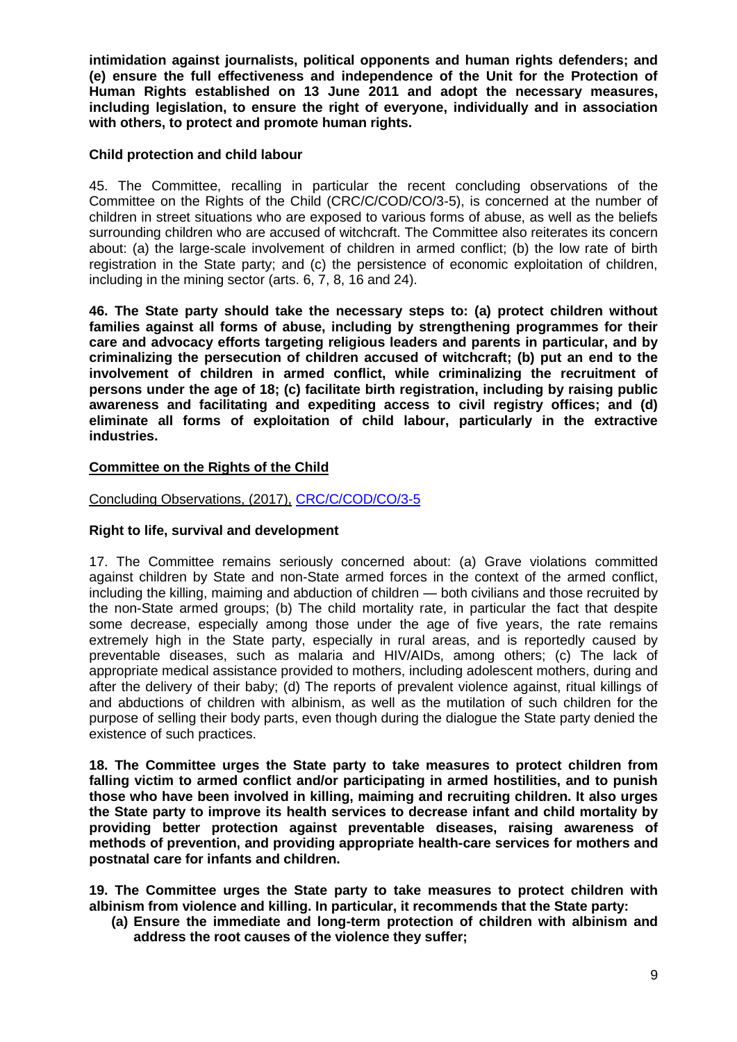**intimidation against journalists, political opponents and human rights defenders; and (e) ensure the full effectiveness and independence of the Unit for the Protection of Human Rights established on 13 June 2011 and adopt the necessary measures, including legislation, to ensure the right of everyone, individually and in association with others, to protect and promote human rights.**

## **Child protection and child labour**

45. The Committee, recalling in particular the recent concluding observations of the Committee on the Rights of the Child (CRC/C/COD/CO/3-5), is concerned at the number of children in street situations who are exposed to various forms of abuse, as well as the beliefs surrounding children who are accused of witchcraft. The Committee also reiterates its concern about: (a) the large-scale involvement of children in armed conflict; (b) the low rate of birth registration in the State party; and (c) the persistence of economic exploitation of children, including in the mining sector (arts. 6, 7, 8, 16 and 24).

**46. The State party should take the necessary steps to: (a) protect children without families against all forms of abuse, including by strengthening programmes for their care and advocacy efforts targeting religious leaders and parents in particular, and by criminalizing the persecution of children accused of witchcraft; (b) put an end to the involvement of children in armed conflict, while criminalizing the recruitment of persons under the age of 18; (c) facilitate birth registration, including by raising public awareness and facilitating and expediting access to civil registry offices; and (d) eliminate all forms of exploitation of child labour, particularly in the extractive industries.**

## **Committee on the Rights of the Child**

## Concluding Observations, (2017), [CRC/C/COD/CO/3-5](file:///C:/Users/TRUSCAN/Documents/UPR33/LoE/DRC_CRC_2017.pdf)

## **Right to life, survival and development**

17. The Committee remains seriously concerned about: (a) Grave violations committed against children by State and non-State armed forces in the context of the armed conflict, including the killing, maiming and abduction of children — both civilians and those recruited by the non-State armed groups; (b) The child mortality rate, in particular the fact that despite some decrease, especially among those under the age of five years, the rate remains extremely high in the State party, especially in rural areas, and is reportedly caused by preventable diseases, such as malaria and HIV/AIDs, among others; (c) The lack of appropriate medical assistance provided to mothers, including adolescent mothers, during and after the delivery of their baby; (d) The reports of prevalent violence against, ritual killings of and abductions of children with albinism, as well as the mutilation of such children for the purpose of selling their body parts, even though during the dialogue the State party denied the existence of such practices.

**18. The Committee urges the State party to take measures to protect children from falling victim to armed conflict and/or participating in armed hostilities, and to punish those who have been involved in killing, maiming and recruiting children. It also urges the State party to improve its health services to decrease infant and child mortality by providing better protection against preventable diseases, raising awareness of methods of prevention, and providing appropriate health-care services for mothers and postnatal care for infants and children.** 

**19. The Committee urges the State party to take measures to protect children with albinism from violence and killing. In particular, it recommends that the State party:** 

**(a) Ensure the immediate and long-term protection of children with albinism and address the root causes of the violence they suffer;**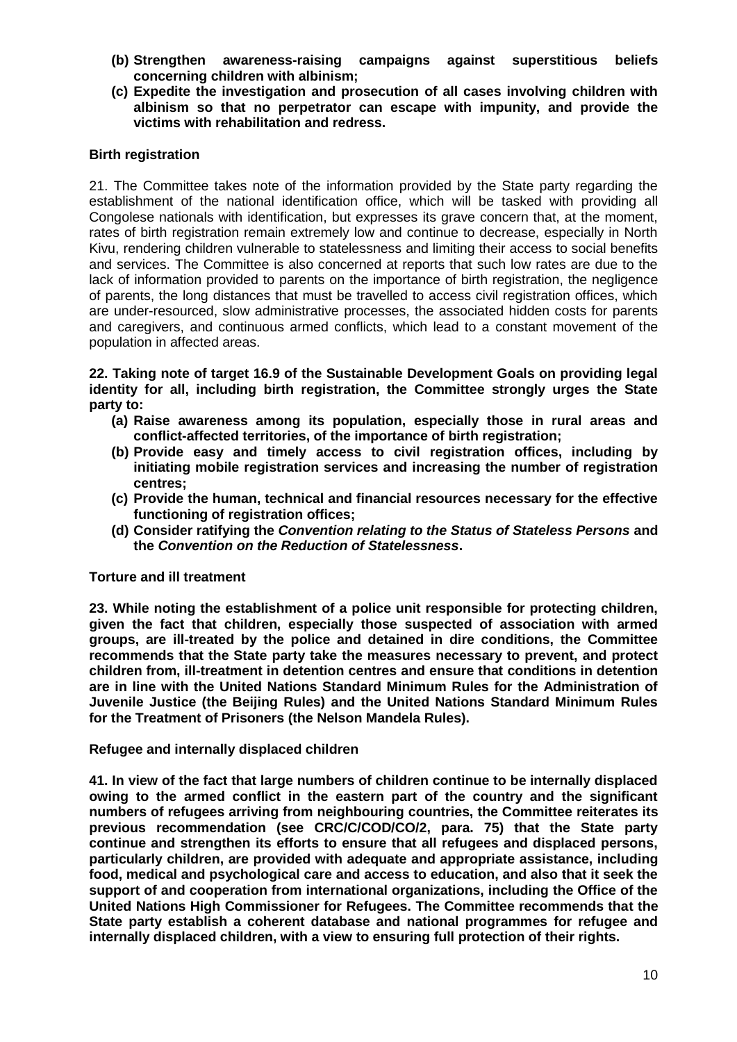- **(b) Strengthen awareness-raising campaigns against superstitious beliefs concerning children with albinism;**
- **(c) Expedite the investigation and prosecution of all cases involving children with albinism so that no perpetrator can escape with impunity, and provide the victims with rehabilitation and redress.**

### **Birth registration**

21. The Committee takes note of the information provided by the State party regarding the establishment of the national identification office, which will be tasked with providing all Congolese nationals with identification, but expresses its grave concern that, at the moment, rates of birth registration remain extremely low and continue to decrease, especially in North Kivu, rendering children vulnerable to statelessness and limiting their access to social benefits and services. The Committee is also concerned at reports that such low rates are due to the lack of information provided to parents on the importance of birth registration, the negligence of parents, the long distances that must be travelled to access civil registration offices, which are under-resourced, slow administrative processes, the associated hidden costs for parents and caregivers, and continuous armed conflicts, which lead to a constant movement of the population in affected areas.

**22. Taking note of target 16.9 of the Sustainable Development Goals on providing legal identity for all, including birth registration, the Committee strongly urges the State party to:** 

- **(a) Raise awareness among its population, especially those in rural areas and conflict-affected territories, of the importance of birth registration;**
- **(b) Provide easy and timely access to civil registration offices, including by initiating mobile registration services and increasing the number of registration centres;**
- **(c) Provide the human, technical and financial resources necessary for the effective functioning of registration offices;**
- **(d) Consider ratifying the** *Convention relating to the Status of Stateless Persons* **and the** *Convention on the Reduction of Statelessness***.**

### **Torture and ill treatment**

**23. While noting the establishment of a police unit responsible for protecting children, given the fact that children, especially those suspected of association with armed groups, are ill-treated by the police and detained in dire conditions, the Committee recommends that the State party take the measures necessary to prevent, and protect children from, ill-treatment in detention centres and ensure that conditions in detention are in line with the United Nations Standard Minimum Rules for the Administration of Juvenile Justice (the Beijing Rules) and the United Nations Standard Minimum Rules for the Treatment of Prisoners (the Nelson Mandela Rules).**

### **Refugee and internally displaced children**

**41. In view of the fact that large numbers of children continue to be internally displaced owing to the armed conflict in the eastern part of the country and the significant numbers of refugees arriving from neighbouring countries, the Committee reiterates its previous recommendation (see CRC/C/COD/CO/2, para. 75) that the State party continue and strengthen its efforts to ensure that all refugees and displaced persons, particularly children, are provided with adequate and appropriate assistance, including food, medical and psychological care and access to education, and also that it seek the support of and cooperation from international organizations, including the Office of the United Nations High Commissioner for Refugees. The Committee recommends that the State party establish a coherent database and national programmes for refugee and internally displaced children, with a view to ensuring full protection of their rights.**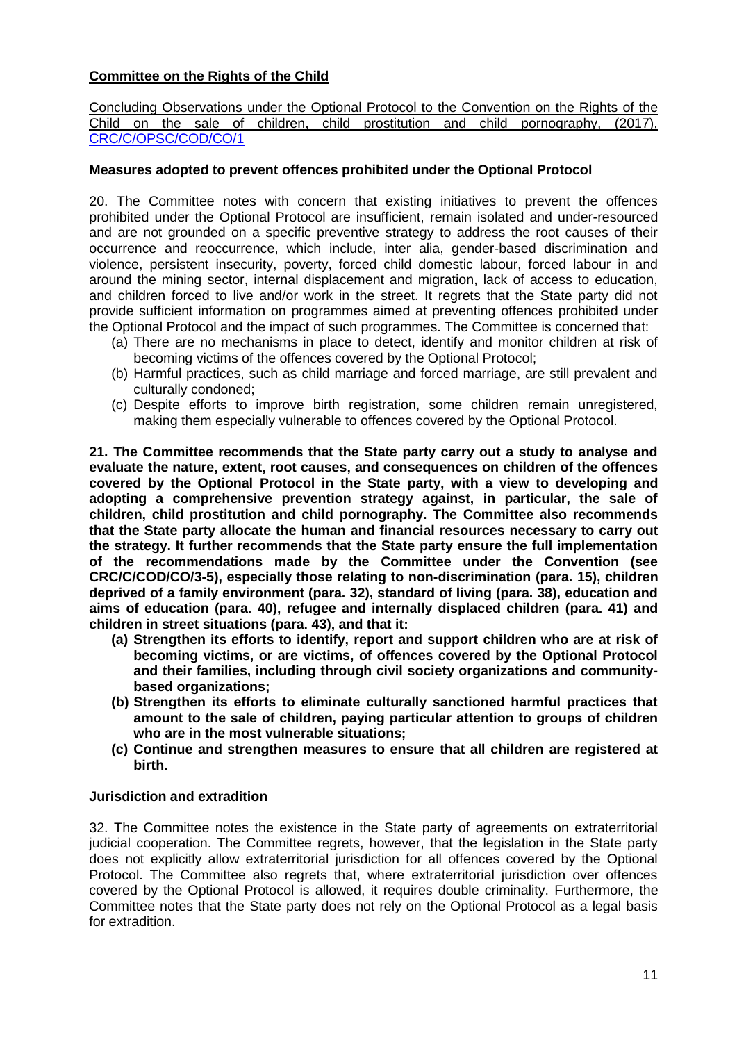## **Committee on the Rights of the Child**

Concluding Observations under the Optional Protocol to the Convention on the Rights of the Child on the sale of children, child prostitution and child pornography, (2017), [CRC/C/OPSC/COD/CO/1](file:///C:/Users/TRUSCAN/Documents/UPR33/LoE/DRC_CRC_OPSC_2017.pdf)

### **Measures adopted to prevent offences prohibited under the Optional Protocol**

20. The Committee notes with concern that existing initiatives to prevent the offences prohibited under the Optional Protocol are insufficient, remain isolated and under-resourced and are not grounded on a specific preventive strategy to address the root causes of their occurrence and reoccurrence, which include, inter alia, gender-based discrimination and violence, persistent insecurity, poverty, forced child domestic labour, forced labour in and around the mining sector, internal displacement and migration, lack of access to education, and children forced to live and/or work in the street. It regrets that the State party did not provide sufficient information on programmes aimed at preventing offences prohibited under the Optional Protocol and the impact of such programmes. The Committee is concerned that:

- (a) There are no mechanisms in place to detect, identify and monitor children at risk of becoming victims of the offences covered by the Optional Protocol;
- (b) Harmful practices, such as child marriage and forced marriage, are still prevalent and culturally condoned;
- (c) Despite efforts to improve birth registration, some children remain unregistered, making them especially vulnerable to offences covered by the Optional Protocol.

**21. The Committee recommends that the State party carry out a study to analyse and evaluate the nature, extent, root causes, and consequences on children of the offences covered by the Optional Protocol in the State party, with a view to developing and adopting a comprehensive prevention strategy against, in particular, the sale of children, child prostitution and child pornography. The Committee also recommends that the State party allocate the human and financial resources necessary to carry out the strategy. It further recommends that the State party ensure the full implementation of the recommendations made by the Committee under the Convention (see CRC/C/COD/CO/3-5), especially those relating to non-discrimination (para. 15), children deprived of a family environment (para. 32), standard of living (para. 38), education and aims of education (para. 40), refugee and internally displaced children (para. 41) and children in street situations (para. 43), and that it:** 

- **(a) Strengthen its efforts to identify, report and support children who are at risk of becoming victims, or are victims, of offences covered by the Optional Protocol and their families, including through civil society organizations and communitybased organizations;**
- **(b) Strengthen its efforts to eliminate culturally sanctioned harmful practices that amount to the sale of children, paying particular attention to groups of children who are in the most vulnerable situations;**
- **(c) Continue and strengthen measures to ensure that all children are registered at birth.**

### **Jurisdiction and extradition**

32. The Committee notes the existence in the State party of agreements on extraterritorial judicial cooperation. The Committee regrets, however, that the legislation in the State party does not explicitly allow extraterritorial jurisdiction for all offences covered by the Optional Protocol. The Committee also regrets that, where extraterritorial jurisdiction over offences covered by the Optional Protocol is allowed, it requires double criminality. Furthermore, the Committee notes that the State party does not rely on the Optional Protocol as a legal basis for extradition.